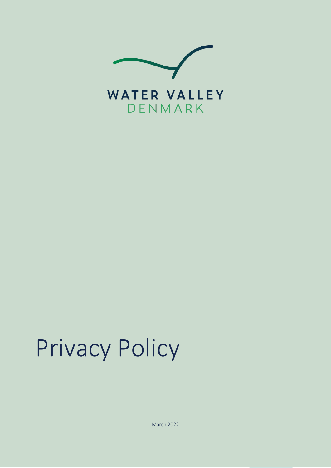

# Privacy Policy

March 2022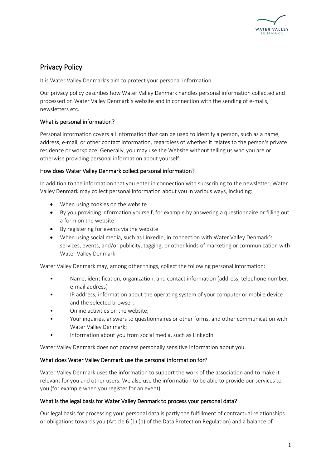

## Privacy Policy

It is Water Valley Denmark's aim to protect your personal information.

Our privacy policy describes how Water Valley Denmark handles personal information collected and processed on Water Valley Denmark's website and in connection with the sending of e-mails, newsletters etc.

### What is personal information?

Personal information covers all information that can be used to identify a person, such as a name, address, e-mail, or other contact information, regardless of whether it relates to the person's private residence or workplace. Generally, you may use the Website without telling us who you are or otherwise providing personal information about yourself.

#### How does Water Valley Denmark collect personal information?

In addition to the information that you enter in connection with subscribing to the newsletter, Water Valley Denmark may collect personal information about you in various ways, including:

- When using cookies on the website
- By you providing information yourself, for example by answering a questionnaire or filling out a form on the website
- By registering for events via the website
- When using social media, such as LinkedIn, in connection with Water Valley Denmark's services, events, and/or publicity, tagging, or other kinds of marketing or communication with Water Valley Denmark.

Water Valley Denmark may, among other things, collect the following personal information:

- Name, identification, organization, and contact information (address, telephone number, e-mail address)
- IP address, information about the operating system of your computer or mobile device and the selected browser;
- Online activities on the website;
- Your inquiries, answers to questionnaires or other forms, and other communication with Water Valley Denmark;
- Information about you from social media, such as LinkedIn

Water Valley Denmark does not process personally sensitive information about you.

#### What does Water Valley Denmark use the personal information for?

Water Valley Denmark uses the information to support the work of the association and to make it relevant for you and other users. We also use the information to be able to provide our services to you (for example when you register for an event).

#### What is the legal basis for Water Valley Denmark to process your personal data?

Our legal basis for processing your personal data is partly the fulfillment of contractual relationships or obligations towards you (Article 6 (1) (b) of the Data Protection Regulation) and a balance of